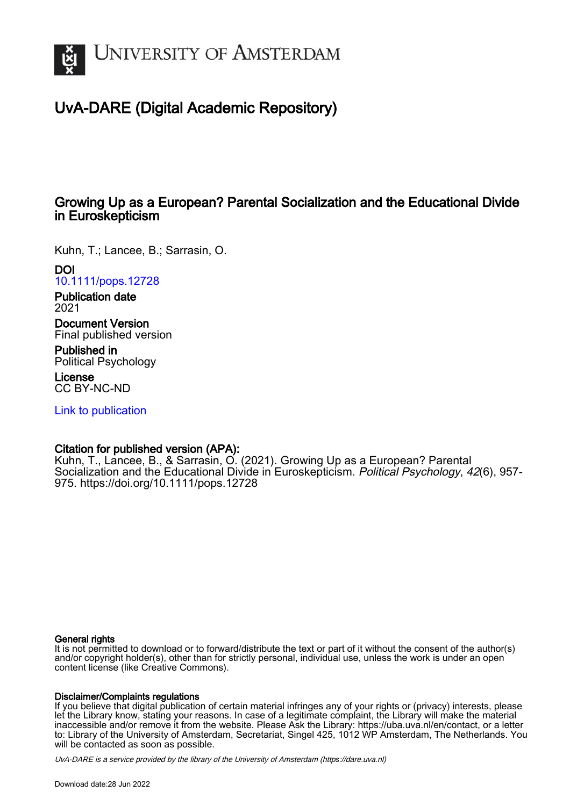

# UvA-DARE (Digital Academic Repository)

## Growing Up as a European? Parental Socialization and the Educational Divide in Euroskepticism

Kuhn, T.; Lancee, B.; Sarrasin, O.

DOI [10.1111/pops.12728](https://doi.org/10.1111/pops.12728)

Publication date 2021

Document Version Final published version

Published in Political Psychology

License CC BY-NC-ND

[Link to publication](https://dare.uva.nl/personal/pure/en/publications/growing-up-as-a-european-parental-socialization-and-the-educational-divide-in-euroskepticism(3451481f-2472-4e91-8898-2f9d18c1c993).html)

## Citation for published version (APA):

Kuhn, T., Lancee, B., & Sarrasin, O. (2021). Growing Up as a European? Parental Socialization and the Educational Divide in Euroskepticism. Political Psychology, 42(6), 957-975. <https://doi.org/10.1111/pops.12728>

## General rights

It is not permitted to download or to forward/distribute the text or part of it without the consent of the author(s) and/or copyright holder(s), other than for strictly personal, individual use, unless the work is under an open content license (like Creative Commons).

## Disclaimer/Complaints regulations

If you believe that digital publication of certain material infringes any of your rights or (privacy) interests, please let the Library know, stating your reasons. In case of a legitimate complaint, the Library will make the material inaccessible and/or remove it from the website. Please Ask the Library: https://uba.uva.nl/en/contact, or a letter to: Library of the University of Amsterdam, Secretariat, Singel 425, 1012 WP Amsterdam, The Netherlands. You will be contacted as soon as possible.

UvA-DARE is a service provided by the library of the University of Amsterdam (http*s*://dare.uva.nl)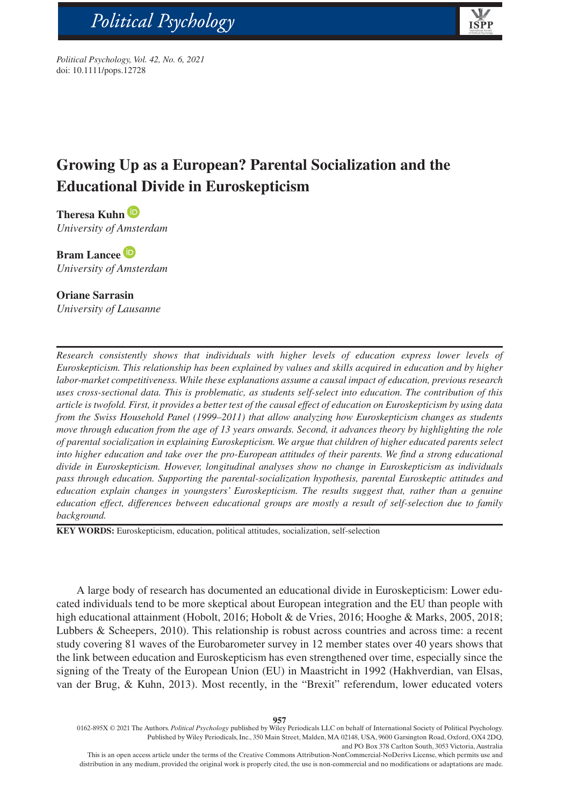Political Psychology



*Political Psychology, Vol. 42, No. 6, 2021* doi: 10.1111/pops.12728

bs\_bs\_banner

## **Growing Up as a European? Parental Socialization and the Educational Divide in Euroskepticism**

**Theresa Kuhn** *University of Amsterdam*

**Bram Lancee** *University of Amsterdam*

## **Oriane Sarrasin**

*University of Lausanne*

*Research consistently shows that individuals with higher levels of education express lower levels of Euroskepticism. This relationship has been explained by values and skills acquired in education and by higher labor-market competitiveness. While these explanations assume a causal impact of education, previous research uses cross-sectional data. This is problematic, as students self-select into education. The contribution of this article is twofold. First, it provides a better test of the causal effect of education on Euroskepticism by using data from the Swiss Household Panel (1999–2011) that allow analyzing how Euroskepticism changes as students move through education from the age of 13 years onwards. Second, it advances theory by highlighting the role of parental socialization in explaining Euroskepticism. We argue that children of higher educated parents select*  into higher education and take over the pro-European attitudes of their parents. We find a strong educational *divide in Euroskepticism. However, longitudinal analyses show no change in Euroskepticism as individuals pass through education. Supporting the parental-socialization hypothesis, parental Euroskeptic attitudes and education explain changes in youngsters' Euroskepticism. The results suggest that, rather than a genuine education effect, differences between educational groups are mostly a result of self-selection due to family background.*

**KEY WORDS:** Euroskepticism, education, political attitudes, socialization, self-selection

A large body of research has documented an educational divide in Euroskepticism: Lower educated individuals tend to be more skeptical about European integration and the EU than people with high educational attainment (Hobolt, 2016; Hobolt & de Vries, 2016; Hooghe & Marks, 2005, 2018; Lubbers & Scheepers, 2010). This relationship is robust across countries and across time: a recent study covering 81 waves of the Eurobarometer survey in 12 member states over 40 years shows that the link between education and Euroskepticism has even strengthened over time, especially since the signing of the Treaty of the European Union (EU) in Maastricht in 1992 (Hakhverdian, van Elsas, van der Brug, & Kuhn, 2013). Most recently, in the "Brexit" referendum, lower educated voters

0162-895X © 2021 The Authors. *Political Psychology* published by Wiley Periodicals LLC on behalf of International Society of Political Psychology. Published by Wiley Periodicals, Inc., 350 Main Street, Malden, MA 02148, USA, 9600 Garsington Road, Oxford, OX4 2DQ, and PO Box 378 Carlton South, 3053 Victoria, Australia

This is an open access article under the terms of the [Creative Commons Attribution-NonCommercial-NoDerivs](http://creativecommons.org/licenses/by-nc-nd/4.0/) License, which permits use and distribution in any medium, provided the original work is properly cited, the use is non-commercial and no modifications or adaptations are made.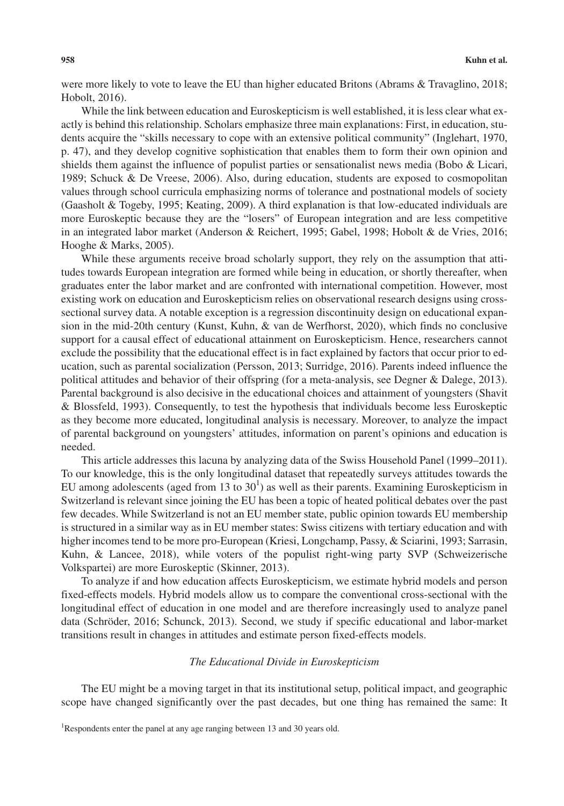were more likely to vote to leave the EU than higher educated Britons (Abrams & Travaglino, 2018; Hobolt, 2016).

While the link between education and Euroskepticism is well established, it is less clear what exactly is behind this relationship. Scholars emphasize three main explanations: First, in education, students acquire the "skills necessary to cope with an extensive political community" (Inglehart, 1970, p. 47), and they develop cognitive sophistication that enables them to form their own opinion and shields them against the influence of populist parties or sensationalist news media (Bobo & Licari, 1989; Schuck & De Vreese, 2006). Also, during education, students are exposed to cosmopolitan values through school curricula emphasizing norms of tolerance and postnational models of society (Gaasholt & Togeby, 1995; Keating, 2009). A third explanation is that low-educated individuals are more Euroskeptic because they are the "losers" of European integration and are less competitive in an integrated labor market (Anderson & Reichert, 1995; Gabel, 1998; Hobolt & de Vries, 2016; Hooghe & Marks, 2005).

While these arguments receive broad scholarly support, they rely on the assumption that attitudes towards European integration are formed while being in education, or shortly thereafter, when graduates enter the labor market and are confronted with international competition. However, most existing work on education and Euroskepticism relies on observational research designs using crosssectional survey data. A notable exception is a regression discontinuity design on educational expansion in the mid-20th century (Kunst, Kuhn, & van de Werfhorst, 2020), which finds no conclusive support for a causal effect of educational attainment on Euroskepticism. Hence, researchers cannot exclude the possibility that the educational effect is in fact explained by factors that occur prior to education, such as parental socialization (Persson, 2013; Surridge, 2016). Parents indeed influence the political attitudes and behavior of their offspring (for a meta-analysis, see Degner & Dalege, 2013). Parental background is also decisive in the educational choices and attainment of youngsters (Shavit & Blossfeld, 1993). Consequently, to test the hypothesis that individuals become less Euroskeptic as they become more educated, longitudinal analysis is necessary. Moreover, to analyze the impact of parental background on youngsters' attitudes, information on parent's opinions and education is needed.

This article addresses this lacuna by analyzing data of the Swiss Household Panel (1999–2011). To our knowledge, this is the only longitudinal dataset that repeatedly surveys attitudes towards the EU among adolescents (aged from 13 to  $30<sup>1</sup>$ ) as well as their parents. Examining Euroskepticism in Switzerland is relevant since joining the EU has been a topic of heated political debates over the past few decades. While Switzerland is not an EU member state, public opinion towards EU membership is structured in a similar way as in EU member states: Swiss citizens with tertiary education and with higher incomes tend to be more pro-European (Kriesi, Longchamp, Passy, & Sciarini, 1993; Sarrasin, Kuhn, & Lancee, 2018), while voters of the populist right-wing party SVP (Schweizerische Volkspartei) are more Euroskeptic (Skinner, 2013).

To analyze if and how education affects Euroskepticism, we estimate hybrid models and person fixed-effects models. Hybrid models allow us to compare the conventional cross-sectional with the longitudinal effect of education in one model and are therefore increasingly used to analyze panel data (Schröder, 2016; Schunck, 2013). Second, we study if specific educational and labor-market transitions result in changes in attitudes and estimate person fixed-effects models.

#### *The Educational Divide in Euroskepticism*

The EU might be a moving target in that its institutional setup, political impact, and geographic scope have changed significantly over the past decades, but one thing has remained the same: It

<sup>&</sup>lt;sup>1</sup>Respondents enter the panel at any age ranging between 13 and 30 years old.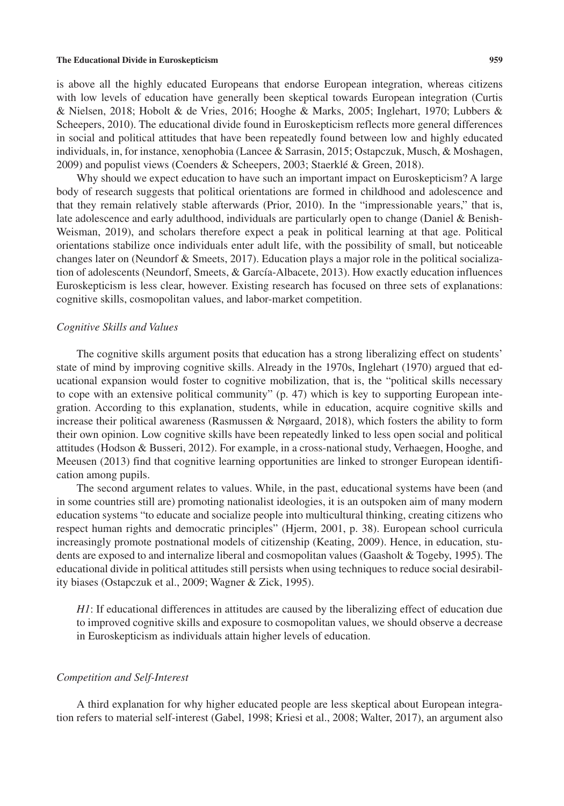is above all the highly educated Europeans that endorse European integration, whereas citizens with low levels of education have generally been skeptical towards European integration (Curtis & Nielsen, 2018; Hobolt & de Vries, 2016; Hooghe & Marks, 2005; Inglehart, 1970; Lubbers & Scheepers, 2010). The educational divide found in Euroskepticism reflects more general differences in social and political attitudes that have been repeatedly found between low and highly educated individuals, in, for instance, xenophobia (Lancee & Sarrasin, 2015; Ostapczuk, Musch, & Moshagen, 2009) and populist views (Coenders & Scheepers, 2003; Staerklé & Green, 2018).

Why should we expect education to have such an important impact on Euroskepticism? A large body of research suggests that political orientations are formed in childhood and adolescence and that they remain relatively stable afterwards (Prior, 2010). In the "impressionable years," that is, late adolescence and early adulthood, individuals are particularly open to change (Daniel & Benish-Weisman, 2019), and scholars therefore expect a peak in political learning at that age. Political orientations stabilize once individuals enter adult life, with the possibility of small, but noticeable changes later on (Neundorf & Smeets, 2017). Education plays a major role in the political socialization of adolescents (Neundorf, Smeets, & García-Albacete, 2013). How exactly education influences Euroskepticism is less clear, however. Existing research has focused on three sets of explanations: cognitive skills, cosmopolitan values, and labor-market competition.

#### *Cognitive Skills and Values*

The cognitive skills argument posits that education has a strong liberalizing effect on students' state of mind by improving cognitive skills. Already in the 1970s, Inglehart (1970) argued that educational expansion would foster to cognitive mobilization, that is, the "political skills necessary to cope with an extensive political community" (p. 47) which is key to supporting European integration. According to this explanation, students, while in education, acquire cognitive skills and increase their political awareness (Rasmussen & Nørgaard, 2018), which fosters the ability to form their own opinion. Low cognitive skills have been repeatedly linked to less open social and political attitudes (Hodson & Busseri, 2012). For example, in a cross-national study, Verhaegen, Hooghe, and Meeusen (2013) find that cognitive learning opportunities are linked to stronger European identification among pupils.

The second argument relates to values. While, in the past, educational systems have been (and in some countries still are) promoting nationalist ideologies, it is an outspoken aim of many modern education systems "to educate and socialize people into multicultural thinking, creating citizens who respect human rights and democratic principles" (Hjerm, 2001, p. 38). European school curricula increasingly promote postnational models of citizenship (Keating, 2009). Hence, in education, students are exposed to and internalize liberal and cosmopolitan values (Gaasholt & Togeby, 1995). The educational divide in political attitudes still persists when using techniques to reduce social desirability biases (Ostapczuk et al., 2009; Wagner & Zick, 1995).

*H1*: If educational differences in attitudes are caused by the liberalizing effect of education due to improved cognitive skills and exposure to cosmopolitan values, we should observe a decrease in Euroskepticism as individuals attain higher levels of education.

### *Competition and Self-Interest*

A third explanation for why higher educated people are less skeptical about European integration refers to material self-interest (Gabel, 1998; Kriesi et al., 2008; Walter, 2017), an argument also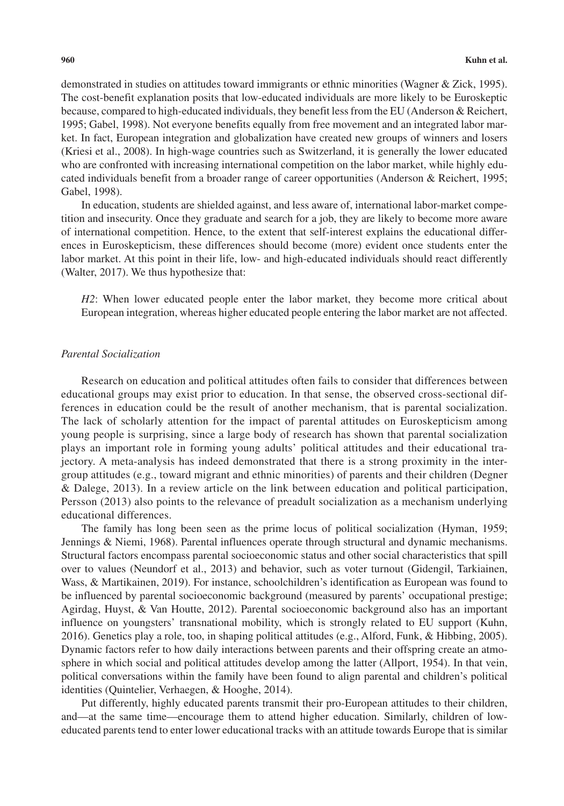demonstrated in studies on attitudes toward immigrants or ethnic minorities (Wagner & Zick, 1995). The cost-benefit explanation posits that low-educated individuals are more likely to be Euroskeptic because, compared to high-educated individuals, they benefit less from the EU (Anderson & Reichert, 1995; Gabel, 1998). Not everyone benefits equally from free movement and an integrated labor market. In fact, European integration and globalization have created new groups of winners and losers (Kriesi et al., 2008). In high-wage countries such as Switzerland, it is generally the lower educated who are confronted with increasing international competition on the labor market, while highly educated individuals benefit from a broader range of career opportunities (Anderson & Reichert, 1995; Gabel, 1998).

In education, students are shielded against, and less aware of, international labor-market competition and insecurity. Once they graduate and search for a job, they are likely to become more aware of international competition. Hence, to the extent that self-interest explains the educational differences in Euroskepticism, these differences should become (more) evident once students enter the labor market. At this point in their life, low- and high-educated individuals should react differently (Walter, 2017). We thus hypothesize that:

*H2*: When lower educated people enter the labor market, they become more critical about European integration, whereas higher educated people entering the labor market are not affected.

#### *Parental Socialization*

Research on education and political attitudes often fails to consider that differences between educational groups may exist prior to education. In that sense, the observed cross-sectional differences in education could be the result of another mechanism, that is parental socialization. The lack of scholarly attention for the impact of parental attitudes on Euroskepticism among young people is surprising, since a large body of research has shown that parental socialization plays an important role in forming young adults' political attitudes and their educational trajectory. A meta-analysis has indeed demonstrated that there is a strong proximity in the intergroup attitudes (e.g., toward migrant and ethnic minorities) of parents and their children (Degner & Dalege, 2013). In a review article on the link between education and political participation, Persson (2013) also points to the relevance of preadult socialization as a mechanism underlying educational differences.

The family has long been seen as the prime locus of political socialization (Hyman, 1959; Jennings & Niemi, 1968). Parental influences operate through structural and dynamic mechanisms. Structural factors encompass parental socioeconomic status and other social characteristics that spill over to values (Neundorf et al., 2013) and behavior, such as voter turnout (Gidengil, Tarkiainen, Wass, & Martikainen, 2019). For instance, schoolchildren's identification as European was found to be influenced by parental socioeconomic background (measured by parents' occupational prestige; Agirdag, Huyst, & Van Houtte, 2012). Parental socioeconomic background also has an important influence on youngsters' transnational mobility, which is strongly related to EU support (Kuhn, 2016). Genetics play a role, too, in shaping political attitudes (e.g., Alford, Funk, & Hibbing, 2005). Dynamic factors refer to how daily interactions between parents and their offspring create an atmosphere in which social and political attitudes develop among the latter (Allport, 1954). In that vein, political conversations within the family have been found to align parental and children's political identities (Quintelier, Verhaegen, & Hooghe, 2014).

Put differently, highly educated parents transmit their pro-European attitudes to their children, and—at the same time—encourage them to attend higher education. Similarly, children of loweducated parents tend to enter lower educational tracks with an attitude towards Europe that is similar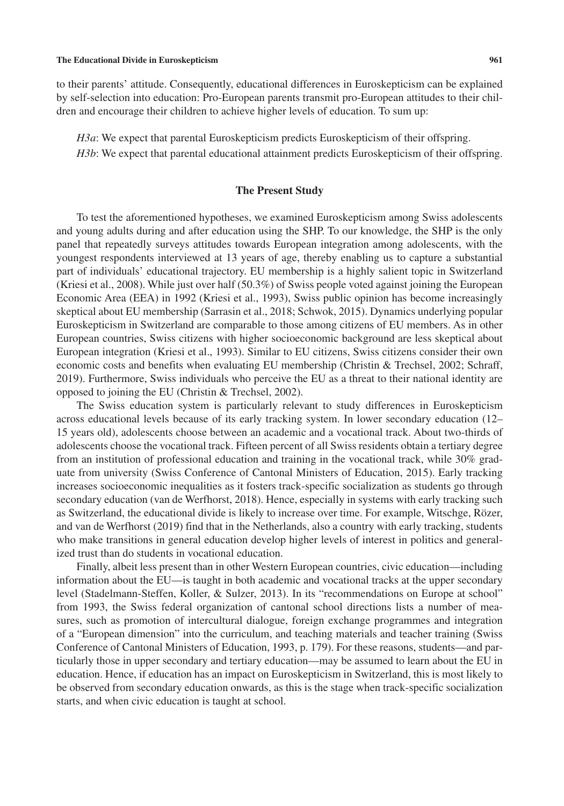to their parents' attitude. Consequently, educational differences in Euroskepticism can be explained by self-selection into education: Pro-European parents transmit pro-European attitudes to their children and encourage their children to achieve higher levels of education. To sum up:

*H3a*: We expect that parental Euroskepticism predicts Euroskepticism of their offspring. *H3b*: We expect that parental educational attainment predicts Euroskepticism of their offspring.

#### **The Present Study**

To test the aforementioned hypotheses, we examined Euroskepticism among Swiss adolescents and young adults during and after education using the SHP. To our knowledge, the SHP is the only panel that repeatedly surveys attitudes towards European integration among adolescents, with the youngest respondents interviewed at 13 years of age, thereby enabling us to capture a substantial part of individuals' educational trajectory. EU membership is a highly salient topic in Switzerland (Kriesi et al., 2008). While just over half (50.3%) of Swiss people voted against joining the European Economic Area (EEA) in 1992 (Kriesi et al., 1993), Swiss public opinion has become increasingly skeptical about EU membership (Sarrasin et al., 2018; Schwok, 2015). Dynamics underlying popular Euroskepticism in Switzerland are comparable to those among citizens of EU members. As in other European countries, Swiss citizens with higher socioeconomic background are less skeptical about European integration (Kriesi et al., 1993). Similar to EU citizens, Swiss citizens consider their own economic costs and benefits when evaluating EU membership (Christin & Trechsel, 2002; Schraff, 2019). Furthermore, Swiss individuals who perceive the EU as a threat to their national identity are opposed to joining the EU (Christin & Trechsel, 2002).

The Swiss education system is particularly relevant to study differences in Euroskepticism across educational levels because of its early tracking system. In lower secondary education (12– 15 years old), adolescents choose between an academic and a vocational track. About two-thirds of adolescents choose the vocational track. Fifteen percent of all Swiss residents obtain a tertiary degree from an institution of professional education and training in the vocational track, while 30% graduate from university (Swiss Conference of Cantonal Ministers of Education, 2015). Early tracking increases socioeconomic inequalities as it fosters track-specific socialization as students go through secondary education (van de Werfhorst, 2018). Hence, especially in systems with early tracking such as Switzerland, the educational divide is likely to increase over time. For example, Witschge, Rözer, and van de Werfhorst (2019) find that in the Netherlands, also a country with early tracking, students who make transitions in general education develop higher levels of interest in politics and generalized trust than do students in vocational education.

Finally, albeit less present than in other Western European countries, civic education—including information about the EU—is taught in both academic and vocational tracks at the upper secondary level (Stadelmann-Steffen, Koller, & Sulzer, 2013). In its "recommendations on Europe at school" from 1993, the Swiss federal organization of cantonal school directions lists a number of measures, such as promotion of intercultural dialogue, foreign exchange programmes and integration of a "European dimension" into the curriculum, and teaching materials and teacher training (Swiss Conference of Cantonal Ministers of Education, 1993, p. 179). For these reasons, students—and particularly those in upper secondary and tertiary education—may be assumed to learn about the EU in education. Hence, if education has an impact on Euroskepticism in Switzerland, this is most likely to be observed from secondary education onwards, as this is the stage when track-specific socialization starts, and when civic education is taught at school.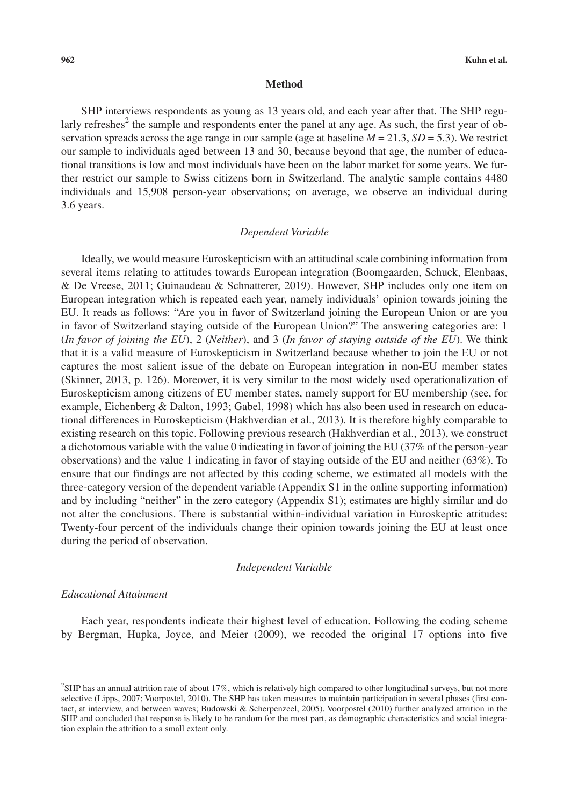#### **Method**

SHP interviews respondents as young as 13 years old, and each year after that. The SHP regularly refreshes<sup>2</sup> the sample and respondents enter the panel at any age. As such, the first year of observation spreads across the age range in our sample (age at baseline  $M = 21.3$ ,  $SD = 5.3$ ). We restrict our sample to individuals aged between 13 and 30, because beyond that age, the number of educational transitions is low and most individuals have been on the labor market for some years. We further restrict our sample to Swiss citizens born in Switzerland. The analytic sample contains 4480 individuals and 15,908 person-year observations; on average, we observe an individual during 3.6 years.

#### *Dependent Variable*

Ideally, we would measure Euroskepticism with an attitudinal scale combining information from several items relating to attitudes towards European integration (Boomgaarden, Schuck, Elenbaas, & De Vreese, 2011; Guinaudeau & Schnatterer, 2019). However, SHP includes only one item on European integration which is repeated each year, namely individuals' opinion towards joining the EU. It reads as follows: "Are you in favor of Switzerland joining the European Union or are you in favor of Switzerland staying outside of the European Union?" The answering categories are: 1 (*In favor of joining the EU*), 2 (*Neither*), and 3 (*In favor of staying outside of the EU*). We think that it is a valid measure of Euroskepticism in Switzerland because whether to join the EU or not captures the most salient issue of the debate on European integration in non-EU member states (Skinner, 2013, p. 126). Moreover, it is very similar to the most widely used operationalization of Euroskepticism among citizens of EU member states, namely support for EU membership (see, for example, Eichenberg & Dalton, 1993; Gabel, 1998) which has also been used in research on educational differences in Euroskepticism (Hakhverdian et al., 2013). It is therefore highly comparable to existing research on this topic. Following previous research (Hakhverdian et al., 2013), we construct a dichotomous variable with the value 0 indicating in favor of joining the EU (37% of the person-year observations) and the value 1 indicating in favor of staying outside of the EU and neither (63%). To ensure that our findings are not affected by this coding scheme, we estimated all models with the three-category version of the dependent variable (Appendix S1 in the online supporting information) and by including "neither" in the zero category (Appendix S1); estimates are highly similar and do not alter the conclusions. There is substantial within-individual variation in Euroskeptic attitudes: Twenty-four percent of the individuals change their opinion towards joining the EU at least once during the period of observation.

#### *Independent Variable*

### *Educational Attainment*

Each year, respondents indicate their highest level of education. Following the coding scheme by Bergman, Hupka, Joyce, and Meier (2009), we recoded the original 17 options into five

<sup>2</sup> SHP has an annual attrition rate of about 17%, which is relatively high compared to other longitudinal surveys, but not more selective (Lipps, 2007; Voorpostel, 2010). The SHP has taken measures to maintain participation in several phases (first contact, at interview, and between waves; Budowski & Scherpenzeel, 2005). Voorpostel (2010) further analyzed attrition in the SHP and concluded that response is likely to be random for the most part, as demographic characteristics and social integration explain the attrition to a small extent only.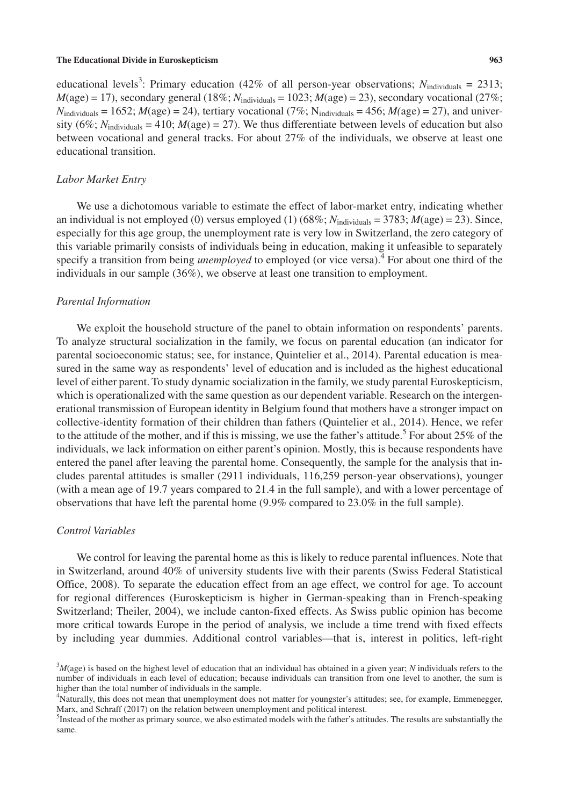educational levels<sup>3</sup>: Primary education (42% of all person-year observations;  $N_{\text{individuals}} = 2313$ ;  $M(age) = 17$ , secondary general (18%;  $N_{individuals} = 1023$ ;  $M(age) = 23$ ), secondary vocational (27%;  $N_{\text{individuals}} = 1652$ ;  $M(\text{age}) = 24$ ), tertiary vocational (7%;  $N_{\text{individuals}} = 456$ ;  $M(\text{age}) = 27$ ), and university (6%;  $N_{\text{individuals}} = 410$ ;  $M(\text{age}) = 27$ ). We thus differentiate between levels of education but also between vocational and general tracks. For about 27% of the individuals, we observe at least one educational transition.

#### *Labor Market Entry*

We use a dichotomous variable to estimate the effect of labor-market entry, indicating whether an individual is not employed (0) versus employed (1) (68%;  $N_{\text{individuals}} = 3783$ ;  $M(\text{age}) = 23$ ). Since, especially for this age group, the unemployment rate is very low in Switzerland, the zero category of this variable primarily consists of individuals being in education, making it unfeasible to separately specify a transition from being *unemployed* to employed (or vice versa).<sup>4</sup> For about one third of the individuals in our sample (36%), we observe at least one transition to employment.

#### *Parental Information*

We exploit the household structure of the panel to obtain information on respondents' parents. To analyze structural socialization in the family, we focus on parental education (an indicator for parental socioeconomic status; see, for instance, Quintelier et al., 2014). Parental education is measured in the same way as respondents' level of education and is included as the highest educational level of either parent. To study dynamic socialization in the family, we study parental Euroskepticism, which is operationalized with the same question as our dependent variable. Research on the intergenerational transmission of European identity in Belgium found that mothers have a stronger impact on collective-identity formation of their children than fathers (Quintelier et al., 2014). Hence, we refer to the attitude of the mother, and if this is missing, we use the father's attitude.<sup>5</sup> For about 25% of the individuals, we lack information on either parent's opinion. Mostly, this is because respondents have entered the panel after leaving the parental home. Consequently, the sample for the analysis that includes parental attitudes is smaller (2911 individuals, 116,259 person-year observations), younger (with a mean age of 19.7 years compared to 21.4 in the full sample), and with a lower percentage of observations that have left the parental home (9.9% compared to 23.0% in the full sample).

#### *Control Variables*

We control for leaving the parental home as this is likely to reduce parental influences. Note that in Switzerland, around 40% of university students live with their parents (Swiss Federal Statistical Office, 2008). To separate the education effect from an age effect, we control for age. To account for regional differences (Euroskepticism is higher in German-speaking than in French-speaking Switzerland; Theiler, 2004), we include canton-fixed effects. As Swiss public opinion has become more critical towards Europe in the period of analysis, we include a time trend with fixed effects by including year dummies. Additional control variables—that is, interest in politics, left-right

<sup>3</sup> *M*(age) is based on the highest level of education that an individual has obtained in a given year; *N* individuals refers to the number of individuals in each level of education; because individuals can transition from one level to another, the sum is higher than the total number of individuals in the sample.

<sup>4</sup> Naturally, this does not mean that unemployment does not matter for youngster's attitudes; see, for example, Emmenegger, Marx, and Schraff (2017) on the relation between unemployment and political interest.

<sup>&</sup>lt;sup>5</sup>Instead of the mother as primary source, we also estimated models with the father's attitudes. The results are substantially the same.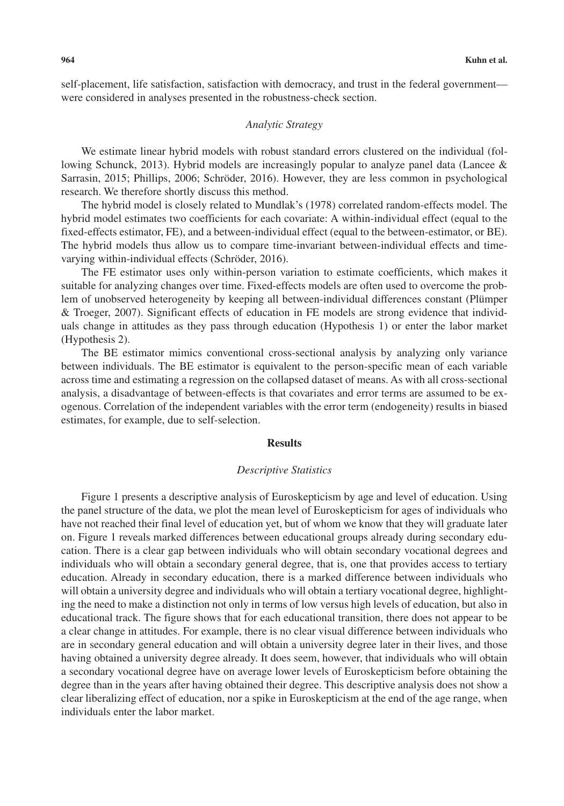self-placement, life satisfaction, satisfaction with democracy, and trust in the federal government were considered in analyses presented in the robustness-check section.

#### *Analytic Strategy*

We estimate linear hybrid models with robust standard errors clustered on the individual (following Schunck, 2013). Hybrid models are increasingly popular to analyze panel data (Lancee & Sarrasin, 2015; Phillips, 2006; Schröder, 2016). However, they are less common in psychological research. We therefore shortly discuss this method.

The hybrid model is closely related to Mundlak's (1978) correlated random-effects model. The hybrid model estimates two coefficients for each covariate: A within-individual effect (equal to the fixed-effects estimator, FE), and a between-individual effect (equal to the between-estimator, or BE). The hybrid models thus allow us to compare time-invariant between-individual effects and timevarying within-individual effects (Schröder, 2016).

The FE estimator uses only within-person variation to estimate coefficients, which makes it suitable for analyzing changes over time. Fixed-effects models are often used to overcome the problem of unobserved heterogeneity by keeping all between-individual differences constant (Plümper & Troeger, 2007). Significant effects of education in FE models are strong evidence that individuals change in attitudes as they pass through education (Hypothesis 1) or enter the labor market (Hypothesis 2).

The BE estimator mimics conventional cross-sectional analysis by analyzing only variance between individuals. The BE estimator is equivalent to the person-specific mean of each variable across time and estimating a regression on the collapsed dataset of means. As with all cross-sectional analysis, a disadvantage of between-effects is that covariates and error terms are assumed to be exogenous. Correlation of the independent variables with the error term (endogeneity) results in biased estimates, for example, due to self-selection.

#### **Results**

#### *Descriptive Statistics*

Figure 1 presents a descriptive analysis of Euroskepticism by age and level of education. Using the panel structure of the data, we plot the mean level of Euroskepticism for ages of individuals who have not reached their final level of education yet, but of whom we know that they will graduate later on. Figure 1 reveals marked differences between educational groups already during secondary education. There is a clear gap between individuals who will obtain secondary vocational degrees and individuals who will obtain a secondary general degree, that is, one that provides access to tertiary education. Already in secondary education, there is a marked difference between individuals who will obtain a university degree and individuals who will obtain a tertiary vocational degree, highlighting the need to make a distinction not only in terms of low versus high levels of education, but also in educational track. The figure shows that for each educational transition, there does not appear to be a clear change in attitudes. For example, there is no clear visual difference between individuals who are in secondary general education and will obtain a university degree later in their lives, and those having obtained a university degree already. It does seem, however, that individuals who will obtain a secondary vocational degree have on average lower levels of Euroskepticism before obtaining the degree than in the years after having obtained their degree. This descriptive analysis does not show a clear liberalizing effect of education, nor a spike in Euroskepticism at the end of the age range, when individuals enter the labor market.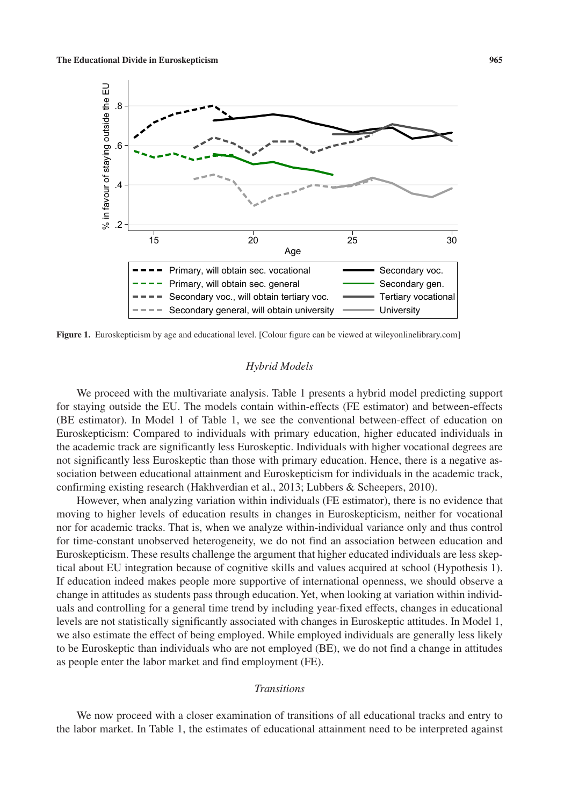

**Figure 1.** Euroskepticism by age and educational level. [Colour figure can be viewed at [wileyonlinelibrary.com\]](www.wileyonlinelibrary.com)

#### *Hybrid Models*

We proceed with the multivariate analysis. Table 1 presents a hybrid model predicting support for staying outside the EU. The models contain within-effects (FE estimator) and between-effects (BE estimator). In Model 1 of Table 1, we see the conventional between-effect of education on Euroskepticism: Compared to individuals with primary education, higher educated individuals in the academic track are significantly less Euroskeptic. Individuals with higher vocational degrees are not significantly less Euroskeptic than those with primary education. Hence, there is a negative association between educational attainment and Euroskepticism for individuals in the academic track, confirming existing research (Hakhverdian et al., 2013; Lubbers & Scheepers, 2010).

However, when analyzing variation within individuals (FE estimator), there is no evidence that moving to higher levels of education results in changes in Euroskepticism, neither for vocational nor for academic tracks. That is, when we analyze within-individual variance only and thus control for time-constant unobserved heterogeneity, we do not find an association between education and Euroskepticism. These results challenge the argument that higher educated individuals are less skeptical about EU integration because of cognitive skills and values acquired at school (Hypothesis 1). If education indeed makes people more supportive of international openness, we should observe a change in attitudes as students pass through education. Yet, when looking at variation within individuals and controlling for a general time trend by including year-fixed effects, changes in educational levels are not statistically significantly associated with changes in Euroskeptic attitudes. In Model 1, we also estimate the effect of being employed. While employed individuals are generally less likely to be Euroskeptic than individuals who are not employed (BE), we do not find a change in attitudes as people enter the labor market and find employment (FE).

#### *Transitions*

We now proceed with a closer examination of transitions of all educational tracks and entry to the labor market. In Table 1, the estimates of educational attainment need to be interpreted against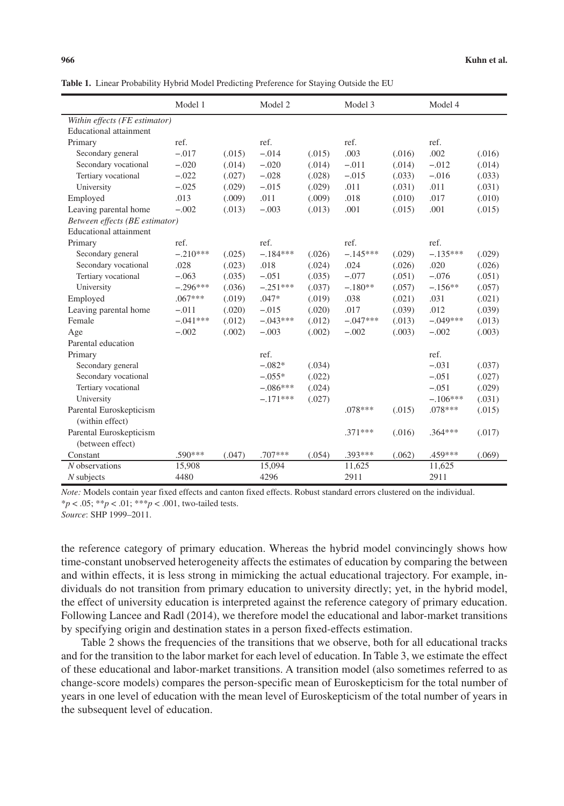|                                | Model 1    |        | Model 2    |        | Model 3    |        | Model 4    |        |
|--------------------------------|------------|--------|------------|--------|------------|--------|------------|--------|
| Within effects (FE estimator)  |            |        |            |        |            |        |            |        |
| <b>Educational attainment</b>  |            |        |            |        |            |        |            |        |
| Primary                        | ref.       |        | ref.       |        | ref.       |        | ref.       |        |
| Secondary general              | $-.017$    | (.015) | $-.014$    | (.015) | .003       | (.016) | .002       | (.016) |
| Secondary vocational           | $-.020$    | (.014) | $-.020$    | (.014) | $-.011$    | (.014) | $-.012$    | (.014) |
| Tertiary vocational            | $-.022$    | (.027) | $-.028$    | (.028) | $-.015$    | (.033) | $-.016$    | (.033) |
| University                     | $-.025$    | (.029) | $-.015$    | (.029) | .011       | (.031) | .011       | (.031) |
| Employed                       | .013       | (.009) | .011       | (.009) | .018       | (.010) | .017       | (.010) |
| Leaving parental home          | $-.002$    | (.013) | $-.003$    | (.013) | .001       | (.015) | .001       | (.015) |
| Between effects (BE estimator) |            |        |            |        |            |        |            |        |
| <b>Educational attainment</b>  |            |        |            |        |            |        |            |        |
| Primary                        | ref.       |        | ref.       |        | ref.       |        | ref.       |        |
| Secondary general              | $-.210***$ | (.025) | $-.184***$ | (.026) | $-.145***$ | (.029) | $-.135***$ | (.029) |
| Secondary vocational           | .028       | (.023) | .018       | (.024) | .024       | (.026) | .020       | (.026) |
| Tertiary vocational            | $-.063$    | (.035) | $-.051$    | (.035) | $-.077$    | (.051) | $-.076$    | (.051) |
| University                     | $-.296***$ | (.036) | $-.251***$ | (.037) | $-.180**$  | (.057) | $-.156**$  | (.057) |
| Employed                       | $.067***$  | (.019) | $.047*$    | (.019) | .038       | (.021) | .031       | (.021) |
| Leaving parental home          | $-.011$    | (.020) | $-.015$    | (.020) | .017       | (.039) | .012       | (.039) |
| Female                         | $-.041***$ | (.012) | $-.043***$ | (.012) | $-.047***$ | (.013) | $-.049***$ | (.013) |
| Age                            | $-.002$    | (.002) | $-.003$    | (.002) | $-.002$    | (.003) | $-.002$    | (.003) |
| Parental education             |            |        |            |        |            |        |            |        |
| Primary                        |            |        | ref.       |        |            |        | ref.       |        |
| Secondary general              |            |        | $-.082*$   | (.034) |            |        | $-.031$    | (.037) |
| Secondary vocational           |            |        | $-.055*$   | (.022) |            |        | $-.051$    | (.027) |
| Tertiary vocational            |            |        | $-.086***$ | (.024) |            |        | $-.051$    | (.029) |
| University                     |            |        | $-.171***$ | (.027) |            |        | $-.106***$ | (.031) |
| Parental Euroskepticism        |            |        |            |        | $.078***$  | (.015) | $.078***$  | (.015) |
| (within effect)                |            |        |            |        |            |        |            |        |
| Parental Euroskepticism        |            |        |            |        | $.371***$  | (.016) | $.364***$  | (.017) |
| (between effect)               |            |        |            |        |            |        |            |        |
| Constant                       | .590***    | (.047) | $.707***$  | (.054) | .393***    | (.062) | .459***    | (.069) |
| $N$ observations               | 15,908     |        | 15,094     |        | 11,625     |        | 11,625     |        |
| $N$ subjects                   | 4480       |        | 4296       |        | 2911       |        | 2911       |        |

**Table 1.** Linear Probability Hybrid Model Predicting Preference for Staying Outside the EU

*Note:* Models contain year fixed effects and canton fixed effects. Robust standard errors clustered on the individual. \**p* < .05; \*\**p* < .01; \*\*\**p* < .001, two-tailed tests.

*Source*: SHP 1999–2011.

the reference category of primary education. Whereas the hybrid model convincingly shows how time-constant unobserved heterogeneity affects the estimates of education by comparing the between and within effects, it is less strong in mimicking the actual educational trajectory. For example, individuals do not transition from primary education to university directly; yet, in the hybrid model, the effect of university education is interpreted against the reference category of primary education. Following Lancee and Radl (2014), we therefore model the educational and labor-market transitions by specifying origin and destination states in a person fixed-effects estimation.

Table 2 shows the frequencies of the transitions that we observe, both for all educational tracks and for the transition to the labor market for each level of education. In Table 3, we estimate the effect of these educational and labor-market transitions. A transition model (also sometimes referred to as change-score models) compares the person-specific mean of Euroskepticism for the total number of years in one level of education with the mean level of Euroskepticism of the total number of years in the subsequent level of education.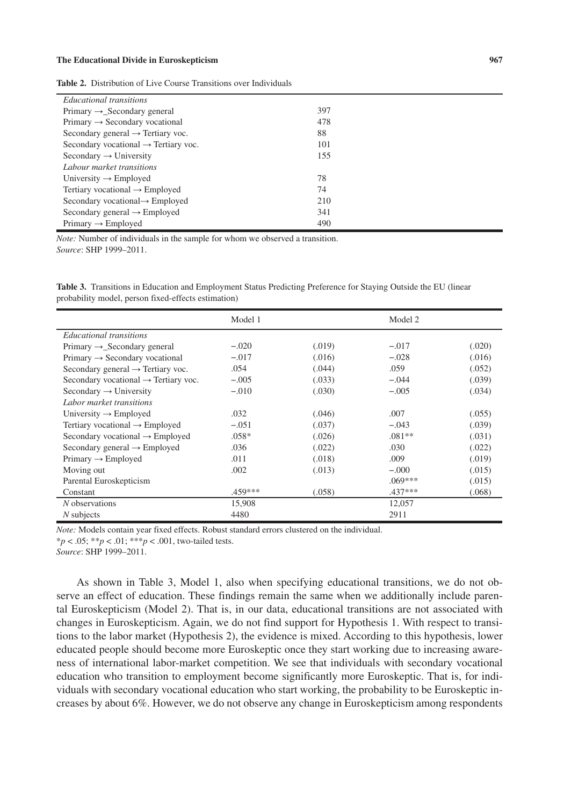| Educational transitions                          |     |
|--------------------------------------------------|-----|
| Primary $\rightarrow$ Secondary general          | 397 |
| $Primary \rightarrow Secondary$ vocational       | 478 |
| Secondary general $\rightarrow$ Tertiary voc.    | 88  |
| Secondary vocational $\rightarrow$ Tertiary voc. | 101 |
| Secondary $\rightarrow$ University               | 155 |
| Labour market transitions                        |     |
| University $\rightarrow$ Employed                | 78  |
| Tertiary vocational $\rightarrow$ Employed       | 74  |
| Secondary vocational $\rightarrow$ Employed      | 210 |
| Secondary general $\rightarrow$ Employed         | 341 |
| $Primary \rightarrow Emploved$                   | 490 |

| <b>Table 2.</b> Distribution of Live Course Transitions over Individuals |  |  |
|--------------------------------------------------------------------------|--|--|
|--------------------------------------------------------------------------|--|--|

*Note:* Number of individuals in the sample for whom we observed a transition. *Source*: SHP 1999–2011.

**Table 3.** Transitions in Education and Employment Status Predicting Preference for Staying Outside the EU (linear probability model, person fixed-effects estimation)

|                                                  | Model 1 |        | Model 2   |        |
|--------------------------------------------------|---------|--------|-----------|--------|
| Educational transitions                          |         |        |           |        |
| Primary $\rightarrow$ Secondary general          | $-.020$ | (.019) | $-.017$   | (.020) |
| $Primary \rightarrow Secondary$ vocational       | $-.017$ | (.016) | $-.028$   | (.016) |
| Secondary general $\rightarrow$ Tertiary voc.    | .054    | (.044) | .059      | (.052) |
| Secondary vocational $\rightarrow$ Tertiary voc. | $-.005$ | (.033) | $-.044$   | (.039) |
| Secondary $\rightarrow$ University               | $-.010$ | (.030) | $-.005$   | (.034) |
| Labor market transitions                         |         |        |           |        |
| University $\rightarrow$ Employed                | .032    | (.046) | .007      | (.055) |
| Tertiary vocational $\rightarrow$ Employed       | $-.051$ | (.037) | $-.043$   | (.039) |
| Secondary vocational $\rightarrow$ Employed      | $.058*$ | (.026) | $.081**$  | (.031) |
| Secondary general $\rightarrow$ Employed         | .036    | (.022) | .030      | (.022) |
| $Primary \rightarrow Emploved$                   | .011    | (.018) | .009      | (.019) |
| Moving out                                       | .002    | (.013) | $-.000$   | (.015) |
| Parental Euroskepticism                          |         |        | $.069***$ | (.015) |
| Constant                                         | .459*** | (.058) | $.437***$ | (.068) |
| $N$ observations                                 | 15,908  |        | 12,057    |        |
| $N$ subjects                                     | 4480    |        | 2911      |        |

*Note:* Models contain year fixed effects. Robust standard errors clustered on the individual.

\**p* < .05; \*\**p* < .01; \*\*\**p* < .001, two-tailed tests.

*Source*: SHP 1999–2011.

As shown in Table 3, Model 1, also when specifying educational transitions, we do not observe an effect of education. These findings remain the same when we additionally include parental Euroskepticism (Model 2). That is, in our data, educational transitions are not associated with changes in Euroskepticism. Again, we do not find support for Hypothesis 1. With respect to transitions to the labor market (Hypothesis 2), the evidence is mixed. According to this hypothesis, lower educated people should become more Euroskeptic once they start working due to increasing awareness of international labor-market competition. We see that individuals with secondary vocational education who transition to employment become significantly more Euroskeptic. That is, for individuals with secondary vocational education who start working, the probability to be Euroskeptic increases by about 6%. However, we do not observe any change in Euroskepticism among respondents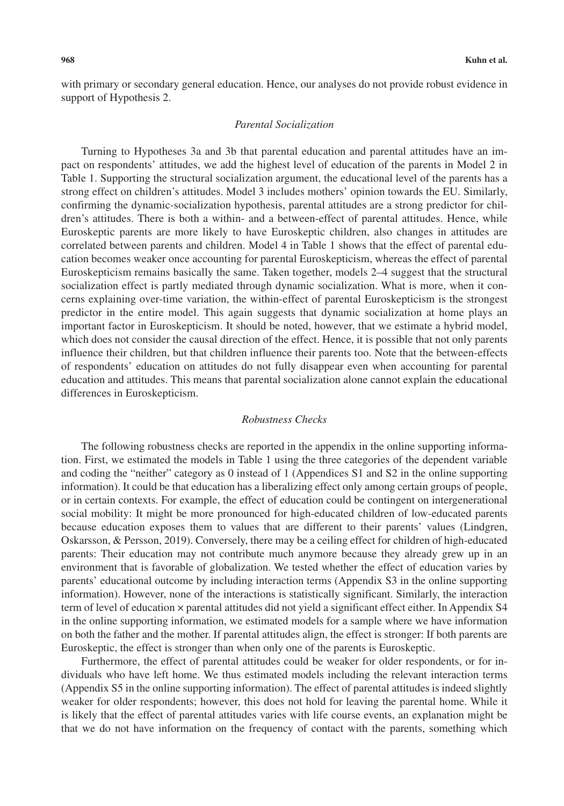with primary or secondary general education. Hence, our analyses do not provide robust evidence in support of Hypothesis 2.

#### *Parental Socialization*

Turning to Hypotheses 3a and 3b that parental education and parental attitudes have an impact on respondents' attitudes, we add the highest level of education of the parents in Model 2 in Table 1. Supporting the structural socialization argument, the educational level of the parents has a strong effect on children's attitudes. Model 3 includes mothers' opinion towards the EU. Similarly, confirming the dynamic-socialization hypothesis, parental attitudes are a strong predictor for children's attitudes. There is both a within- and a between-effect of parental attitudes. Hence, while Euroskeptic parents are more likely to have Euroskeptic children, also changes in attitudes are correlated between parents and children. Model 4 in Table 1 shows that the effect of parental education becomes weaker once accounting for parental Euroskepticism, whereas the effect of parental Euroskepticism remains basically the same. Taken together, models 2–4 suggest that the structural socialization effect is partly mediated through dynamic socialization. What is more, when it concerns explaining over-time variation, the within-effect of parental Euroskepticism is the strongest predictor in the entire model. This again suggests that dynamic socialization at home plays an important factor in Euroskepticism. It should be noted, however, that we estimate a hybrid model, which does not consider the causal direction of the effect. Hence, it is possible that not only parents influence their children, but that children influence their parents too. Note that the between-effects of respondents' education on attitudes do not fully disappear even when accounting for parental education and attitudes. This means that parental socialization alone cannot explain the educational differences in Euroskepticism.

#### *Robustness Checks*

The following robustness checks are reported in the appendix in the online supporting information. First, we estimated the models in Table 1 using the three categories of the dependent variable and coding the "neither" category as 0 instead of 1 (Appendices S1 and S2 in the online supporting information). It could be that education has a liberalizing effect only among certain groups of people, or in certain contexts. For example, the effect of education could be contingent on intergenerational social mobility: It might be more pronounced for high-educated children of low-educated parents because education exposes them to values that are different to their parents' values (Lindgren, Oskarsson, & Persson, 2019). Conversely, there may be a ceiling effect for children of high-educated parents: Their education may not contribute much anymore because they already grew up in an environment that is favorable of globalization. We tested whether the effect of education varies by parents' educational outcome by including interaction terms (Appendix S3 in the online supporting information). However, none of the interactions is statistically significant. Similarly, the interaction term of level of education × parental attitudes did not yield a significant effect either. In Appendix S4 in the online supporting information, we estimated models for a sample where we have information on both the father and the mother. If parental attitudes align, the effect is stronger: If both parents are Euroskeptic, the effect is stronger than when only one of the parents is Euroskeptic.

Furthermore, the effect of parental attitudes could be weaker for older respondents, or for individuals who have left home. We thus estimated models including the relevant interaction terms (Appendix S5 in the online supporting information). The effect of parental attitudes is indeed slightly weaker for older respondents; however, this does not hold for leaving the parental home. While it is likely that the effect of parental attitudes varies with life course events, an explanation might be that we do not have information on the frequency of contact with the parents, something which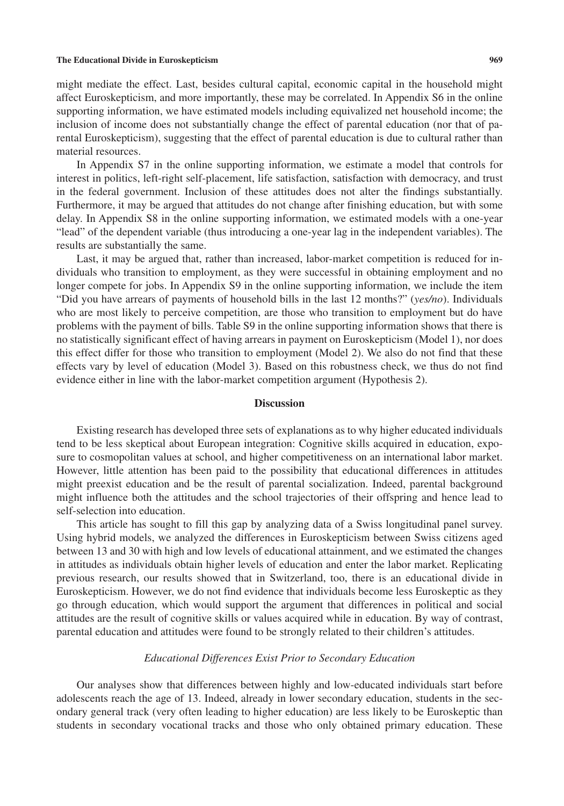might mediate the effect. Last, besides cultural capital, economic capital in the household might affect Euroskepticism, and more importantly, these may be correlated. In Appendix S6 in the online supporting information, we have estimated models including equivalized net household income; the inclusion of income does not substantially change the effect of parental education (nor that of parental Euroskepticism), suggesting that the effect of parental education is due to cultural rather than material resources.

In Appendix S7 in the online supporting information, we estimate a model that controls for interest in politics, left-right self-placement, life satisfaction, satisfaction with democracy, and trust in the federal government. Inclusion of these attitudes does not alter the findings substantially. Furthermore, it may be argued that attitudes do not change after finishing education, but with some delay. In Appendix S8 in the online supporting information, we estimated models with a one-year "lead" of the dependent variable (thus introducing a one-year lag in the independent variables). The results are substantially the same.

Last, it may be argued that, rather than increased, labor-market competition is reduced for individuals who transition to employment, as they were successful in obtaining employment and no longer compete for jobs. In Appendix S9 in the online supporting information, we include the item "Did you have arrears of payments of household bills in the last 12 months?" (*yes/no*). Individuals who are most likely to perceive competition, are those who transition to employment but do have problems with the payment of bills. Table S9 in the online supporting information shows that there is no statistically significant effect of having arrears in payment on Euroskepticism (Model 1), nor does this effect differ for those who transition to employment (Model 2). We also do not find that these effects vary by level of education (Model 3). Based on this robustness check, we thus do not find evidence either in line with the labor-market competition argument (Hypothesis 2).

#### **Discussion**

Existing research has developed three sets of explanations as to why higher educated individuals tend to be less skeptical about European integration: Cognitive skills acquired in education, exposure to cosmopolitan values at school, and higher competitiveness on an international labor market. However, little attention has been paid to the possibility that educational differences in attitudes might preexist education and be the result of parental socialization. Indeed, parental background might influence both the attitudes and the school trajectories of their offspring and hence lead to self-selection into education.

This article has sought to fill this gap by analyzing data of a Swiss longitudinal panel survey. Using hybrid models, we analyzed the differences in Euroskepticism between Swiss citizens aged between 13 and 30 with high and low levels of educational attainment, and we estimated the changes in attitudes as individuals obtain higher levels of education and enter the labor market. Replicating previous research, our results showed that in Switzerland, too, there is an educational divide in Euroskepticism. However, we do not find evidence that individuals become less Euroskeptic as they go through education, which would support the argument that differences in political and social attitudes are the result of cognitive skills or values acquired while in education. By way of contrast, parental education and attitudes were found to be strongly related to their children's attitudes.

#### *Educational Differences Exist Prior to Secondary Education*

Our analyses show that differences between highly and low-educated individuals start before adolescents reach the age of 13. Indeed, already in lower secondary education, students in the secondary general track (very often leading to higher education) are less likely to be Euroskeptic than students in secondary vocational tracks and those who only obtained primary education. These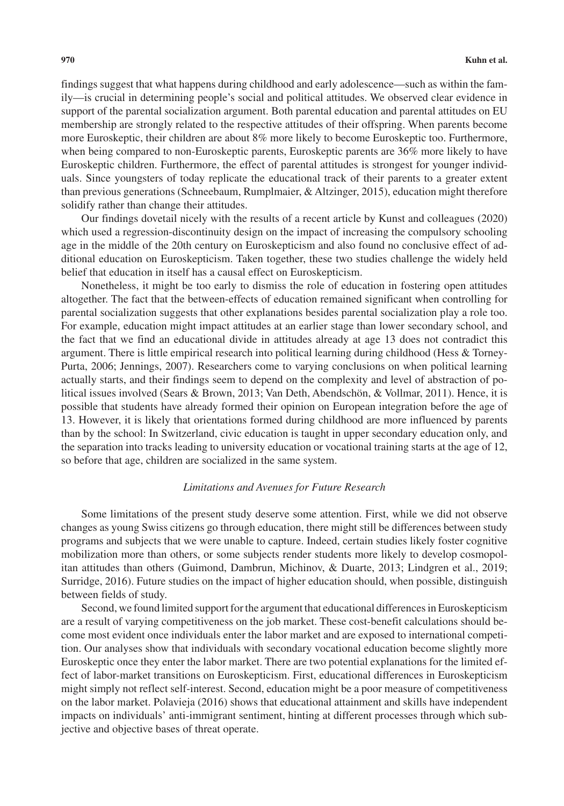findings suggest that what happens during childhood and early adolescence—such as within the family—is crucial in determining people's social and political attitudes. We observed clear evidence in support of the parental socialization argument. Both parental education and parental attitudes on EU membership are strongly related to the respective attitudes of their offspring. When parents become more Euroskeptic, their children are about 8% more likely to become Euroskeptic too. Furthermore, when being compared to non-Euroskeptic parents, Euroskeptic parents are 36% more likely to have Euroskeptic children. Furthermore, the effect of parental attitudes is strongest for younger individuals. Since youngsters of today replicate the educational track of their parents to a greater extent than previous generations (Schneebaum, Rumplmaier, & Altzinger, 2015), education might therefore solidify rather than change their attitudes.

Our findings dovetail nicely with the results of a recent article by Kunst and colleagues (2020) which used a regression-discontinuity design on the impact of increasing the compulsory schooling age in the middle of the 20th century on Euroskepticism and also found no conclusive effect of additional education on Euroskepticism. Taken together, these two studies challenge the widely held belief that education in itself has a causal effect on Euroskepticism.

Nonetheless, it might be too early to dismiss the role of education in fostering open attitudes altogether. The fact that the between-effects of education remained significant when controlling for parental socialization suggests that other explanations besides parental socialization play a role too. For example, education might impact attitudes at an earlier stage than lower secondary school, and the fact that we find an educational divide in attitudes already at age 13 does not contradict this argument. There is little empirical research into political learning during childhood (Hess & Torney-Purta, 2006; Jennings, 2007). Researchers come to varying conclusions on when political learning actually starts, and their findings seem to depend on the complexity and level of abstraction of political issues involved (Sears & Brown, 2013; Van Deth, Abendschön, & Vollmar, 2011). Hence, it is possible that students have already formed their opinion on European integration before the age of 13. However, it is likely that orientations formed during childhood are more influenced by parents than by the school: In Switzerland, civic education is taught in upper secondary education only, and the separation into tracks leading to university education or vocational training starts at the age of 12, so before that age, children are socialized in the same system.

#### *Limitations and Avenues for Future Research*

Some limitations of the present study deserve some attention. First, while we did not observe changes as young Swiss citizens go through education, there might still be differences between study programs and subjects that we were unable to capture. Indeed, certain studies likely foster cognitive mobilization more than others, or some subjects render students more likely to develop cosmopolitan attitudes than others (Guimond, Dambrun, Michinov, & Duarte, 2013; Lindgren et al., 2019; Surridge, 2016). Future studies on the impact of higher education should, when possible, distinguish between fields of study.

Second, we found limited support for the argument that educational differences in Euroskepticism are a result of varying competitiveness on the job market. These cost-benefit calculations should become most evident once individuals enter the labor market and are exposed to international competition. Our analyses show that individuals with secondary vocational education become slightly more Euroskeptic once they enter the labor market. There are two potential explanations for the limited effect of labor-market transitions on Euroskepticism. First, educational differences in Euroskepticism might simply not reflect self-interest. Second, education might be a poor measure of competitiveness on the labor market. Polavieja (2016) shows that educational attainment and skills have independent impacts on individuals' anti-immigrant sentiment, hinting at different processes through which subjective and objective bases of threat operate.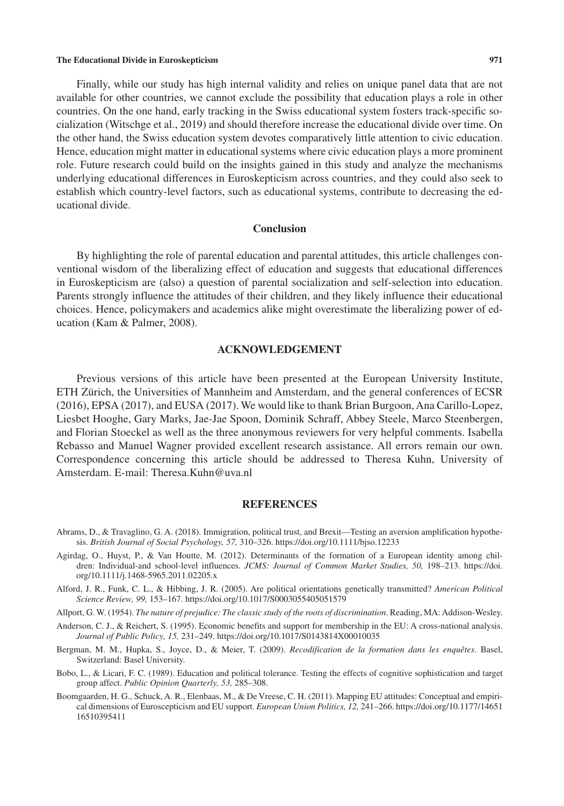Finally, while our study has high internal validity and relies on unique panel data that are not available for other countries, we cannot exclude the possibility that education plays a role in other countries. On the one hand, early tracking in the Swiss educational system fosters track-specific socialization (Witschge et al., 2019) and should therefore increase the educational divide over time. On the other hand, the Swiss education system devotes comparatively little attention to civic education. Hence, education might matter in educational systems where civic education plays a more prominent role. Future research could build on the insights gained in this study and analyze the mechanisms underlying educational differences in Euroskepticism across countries, and they could also seek to establish which country-level factors, such as educational systems, contribute to decreasing the educational divide.

#### **Conclusion**

By highlighting the role of parental education and parental attitudes, this article challenges conventional wisdom of the liberalizing effect of education and suggests that educational differences in Euroskepticism are (also) a question of parental socialization and self-selection into education. Parents strongly influence the attitudes of their children, and they likely influence their educational choices. Hence, policymakers and academics alike might overestimate the liberalizing power of education (Kam & Palmer, 2008).

#### **ACKNOWLEDGEMENT**

Previous versions of this article have been presented at the European University Institute, ETH Zürich, the Universities of Mannheim and Amsterdam, and the general conferences of ECSR (2016), EPSA (2017), and EUSA (2017). We would like to thank Brian Burgoon, Ana Carillo-Lopez, Liesbet Hooghe, Gary Marks, Jae-Jae Spoon, Dominik Schraff, Abbey Steele, Marco Steenbergen, and Florian Stoeckel as well as the three anonymous reviewers for very helpful comments. Isabella Rebasso and Manuel Wagner provided excellent research assistance. All errors remain our own. Correspondence concerning this article should be addressed to Theresa Kuhn, University of Amsterdam. E-mail: [Theresa.Kuhn@uva.nl](mailto:Theresa.Kuhn@uva.nl)

#### **REFERENCES**

- Abrams, D., & Travaglino, G. A. (2018). Immigration, political trust, and Brexit—Testing an aversion amplification hypothesis. *British Journal of Social Psychology, 57,* 310–326.<https://doi.org/10.1111/bjso.12233>
- Agirdag, O., Huyst, P., & Van Houtte, M. (2012). Determinants of the formation of a European identity among children: Individual-and school-level influences. *JCMS: Journal of Common Market Studies, 50,* 198–213. [https://doi.](https://doi.org/10.1111/j.1468-5965.2011.02205.x) [org/10.1111/j.1468-5965.2011.02205.x](https://doi.org/10.1111/j.1468-5965.2011.02205.x)
- Alford, J. R., Funk, C. L., & Hibbing, J. R. (2005). Are political orientations genetically transmitted? *American Political Science Review, 99,* 153–167. <https://doi.org/10.1017/S0003055405051579>

Allport, G. W. (1954). *The nature of prejudice: The classic study of the roots of discrimination*. Reading, MA: Addison-Wesley.

- Anderson, C. J., & Reichert, S. (1995). Economic benefits and support for membership in the EU: A cross-national analysis. *Journal of Public Policy, 15,* 231–249. <https://doi.org/10.1017/S0143814X00010035>
- Bergman, M. M., Hupka, S., Joyce, D., & Meier, T. (2009). *Recodification de la formation dans les enquêtes*. Basel, Switzerland: Basel University.
- Bobo, L., & Licari, F. C. (1989). Education and political tolerance. Testing the effects of cognitive sophistication and target group affect. *Public Opinion Quarterly, 53,* 285–308.
- Boomgaarden, H. G., Schuck, A. R., Elenbaas, M., & De Vreese, C. H. (2011). Mapping EU attitudes: Conceptual and empirical dimensions of Euroscepticism and EU support. *European Union Politics, 12,* 241–266. [https://doi.org/10.1177/14651](https://doi.org/10.1177/1465116510395411) [16510395411](https://doi.org/10.1177/1465116510395411)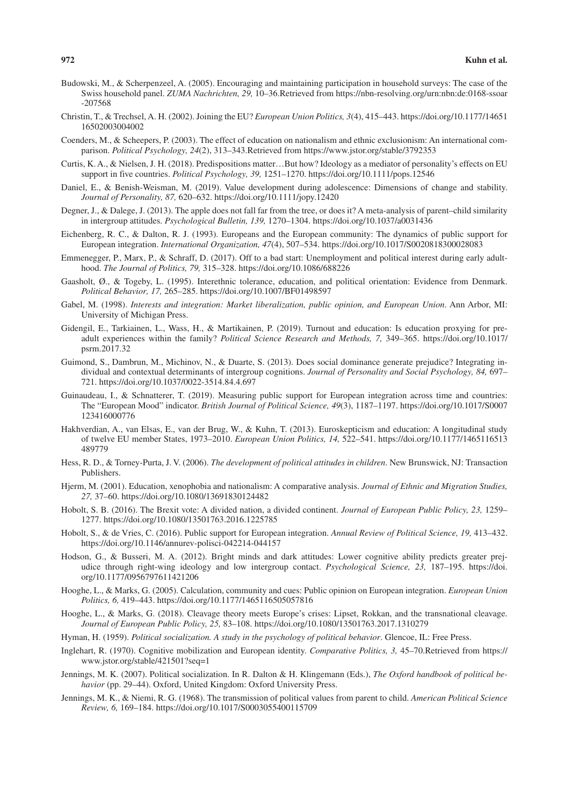- Budowski, M., & Scherpenzeel, A. (2005). Encouraging and maintaining participation in household surveys: The case of the Swiss household panel. *ZUMA Nachrichten, 29,* 10–36.Retrieved from [https://nbn-resolving.org/urn:nbn:de:0168-ssoar](https://nbn-resolving.org/urn:nbn:de:0168-ssoar-207568) [-207568](https://nbn-resolving.org/urn:nbn:de:0168-ssoar-207568)
- Christin, T., & Trechsel, A. H. (2002). Joining the EU? *European Union Politics, 3*(4), 415–443. [https://doi.org/10.1177/14651](https://doi.org/10.1177/1465116502003004002) [16502003004002](https://doi.org/10.1177/1465116502003004002)
- Coenders, M., & Scheepers, P. (2003). The effect of education on nationalism and ethnic exclusionism: An international comparison. *Political Psychology, 24*(2), 313–343.Retrieved from<https://www.jstor.org/stable/3792353>
- Curtis, K. A., & Nielsen, J. H. (2018). Predispositions matter…But how? Ideology as a mediator of personality's effects on EU support in five countries. *Political Psychology, 39,* 1251–1270. <https://doi.org/10.1111/pops.12546>
- Daniel, E., & Benish-Weisman, M. (2019). Value development during adolescence: Dimensions of change and stability. *Journal of Personality, 87,* 620–632. <https://doi.org/10.1111/jopy.12420>
- Degner, J., & Dalege, J. (2013). The apple does not fall far from the tree, or does it? A meta-analysis of parent–child similarity in intergroup attitudes. *Psychological Bulletin, 139,* 1270–1304. <https://doi.org/10.1037/a0031436>
- Eichenberg, R. C., & Dalton, R. J. (1993). Europeans and the European community: The dynamics of public support for European integration. *International Organization, 47*(4), 507–534. <https://doi.org/10.1017/S0020818300028083>
- Emmenegger, P., Marx, P., & Schraff, D. (2017). Off to a bad start: Unemployment and political interest during early adulthood. *The Journal of Politics, 79,* 315–328.<https://doi.org/10.1086/688226>
- Gaasholt, Ø., & Togeby, L. (1995). Interethnic tolerance, education, and political orientation: Evidence from Denmark. *Political Behavior, 17,* 265–285. <https://doi.org/10.1007/BF01498597>
- Gabel, M. (1998). *Interests and integration: Market liberalization, public opinion, and European Union*. Ann Arbor, MI: University of Michigan Press.
- Gidengil, E., Tarkiainen, L., Wass, H., & Martikainen, P. (2019). Turnout and education: Is education proxying for preadult experiences within the family? *Political Science Research and Methods, 7,* 349–365. [https://doi.org/10.1017/](https://doi.org/10.1017/psrm.2017.32) [psrm.2017.32](https://doi.org/10.1017/psrm.2017.32)
- Guimond, S., Dambrun, M., Michinov, N., & Duarte, S. (2013). Does social dominance generate prejudice? Integrating individual and contextual determinants of intergroup cognitions. *Journal of Personality and Social Psychology, 84,* 697– 721. <https://doi.org/10.1037/0022-3514.84.4.697>
- Guinaudeau, I., & Schnatterer, T. (2019). Measuring public support for European integration across time and countries: The "European Mood" indicator. *British Journal of Political Science, 49*(3), 1187–1197. [https://doi.org/10.1017/S0007](https://doi.org/10.1017/S0007123416000776) [123416000776](https://doi.org/10.1017/S0007123416000776)
- Hakhverdian, A., van Elsas, E., van der Brug, W., & Kuhn, T. (2013). Euroskepticism and education: A longitudinal study of twelve EU member States, 1973–2010. *European Union Politics, 14,* 522–541. [https://doi.org/10.1177/1465116513](https://doi.org/10.1177/1465116513489779) [489779](https://doi.org/10.1177/1465116513489779)
- Hess, R. D., & Torney-Purta, J. V. (2006). *The development of political attitudes in children*. New Brunswick, NJ: Transaction Publishers.
- Hjerm, M. (2001). Education, xenophobia and nationalism: A comparative analysis. *Journal of Ethnic and Migration Studies, 27,* 37–60. <https://doi.org/10.1080/13691830124482>
- Hobolt, S. B. (2016). The Brexit vote: A divided nation, a divided continent. *Journal of European Public Policy, 23,* 1259– 1277. <https://doi.org/10.1080/13501763.2016.1225785>
- Hobolt, S., & de Vries, C. (2016). Public support for European integration. *Annual Review of Political Science, 19,* 413–432. <https://doi.org/10.1146/annurev-polisci-042214-044157>
- Hodson, G., & Busseri, M. A. (2012). Bright minds and dark attitudes: Lower cognitive ability predicts greater prejudice through right-wing ideology and low intergroup contact. *Psychological Science, 23,* 187–195. [https://doi.](https://doi.org/10.1177/0956797611421206) [org/10.1177/0956797611421206](https://doi.org/10.1177/0956797611421206)
- Hooghe, L., & Marks, G. (2005). Calculation, community and cues: Public opinion on European integration. *European Union Politics, 6,* 419–443.<https://doi.org/10.1177/1465116505057816>
- Hooghe, L., & Marks, G. (2018). Cleavage theory meets Europe's crises: Lipset, Rokkan, and the transnational cleavage. *Journal of European Public Policy, 25,* 83–108.<https://doi.org/10.1080/13501763.2017.1310279>
- Hyman, H. (1959). *Political socialization. A study in the psychology of political behavior*. Glencoe, IL: Free Press.
- Inglehart, R. (1970). Cognitive mobilization and European identity. *Comparative Politics, 3,* 45–70.Retrieved from [https://](https://www.jstor.org/stable/421501?seq=1) [www.jstor.org/stable/421501?seq=1](https://www.jstor.org/stable/421501?seq=1)
- Jennings, M. K. (2007). Political socialization. In R. Dalton & H. Klingemann (Eds.), *The Oxford handbook of political behavior* (pp. 29–44). Oxford, United Kingdom: Oxford University Press.
- Jennings, M. K., & Niemi, R. G. (1968). The transmission of political values from parent to child. *American Political Science Review, 6,* 169–184. <https://doi.org/10.1017/S0003055400115709>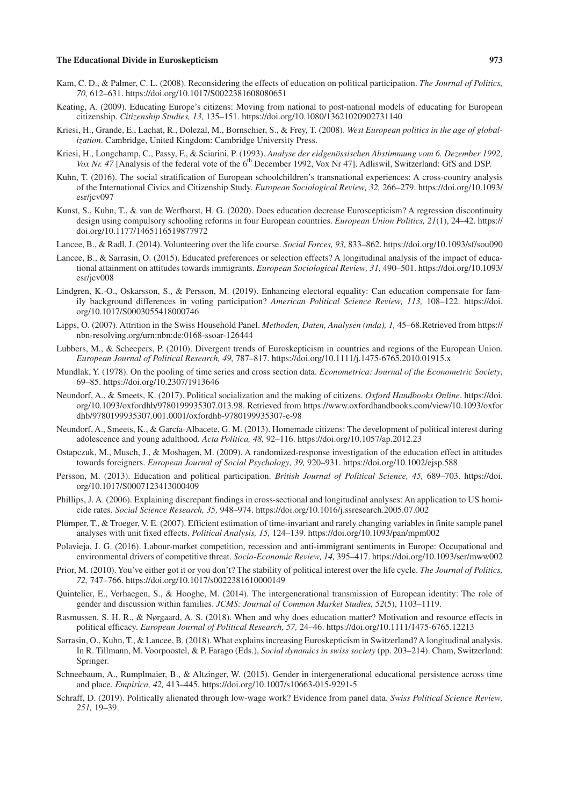- Kam, C. D., & Palmer, C. L. (2008). Reconsidering the effects of education on political participation. *The Journal of Politics, 70,* 612–631.<https://doi.org/10.1017/S0022381608080651>
- Keating, A. (2009). Educating Europe's citizens: Moving from national to post-national models of educating for European citizenship. *Citizenship Studies, 13,* 135–151.<https://doi.org/10.1080/13621020902731140>
- Kriesi, H., Grande, E., Lachat, R., Dolezal, M., Bornschier, S., & Frey, T. (2008). *West European politics in the age of globalization*. Cambridge, United Kingdom: Cambridge University Press.
- Kriesi, H., Longchamp, C., Passy, F., & Sciarini, P. (1993). *Analyse der eidgenössischen Abstimmung vom 6. Dezember 1992, Vox Nr. 47* [Analysis of the federal vote of the 6<sup>th</sup> December 1992, Vox Nr 47]. Adliswil, Switzerland: GfS and DSP.
- Kuhn, T. (2016). The social stratification of European schoolchildren's transnational experiences: A cross-country analysis of the International Civics and Citizenship Study. *European Sociological Review, 32,* 266–279. [https://doi.org/10.1093/](https://doi.org/10.1093/esr/jcv097) [esr/jcv097](https://doi.org/10.1093/esr/jcv097)
- Kunst, S., Kuhn, T., & van de Werfhorst, H. G. (2020). Does education decrease Euroscepticism? A regression discontinuity design using compulsory schooling reforms in four European countries. *European Union Politics, 21*(1), 24–42. [https://](https://doi.org/10.1177/1465116519877972) [doi.org/10.1177/1465116519877972](https://doi.org/10.1177/1465116519877972)
- Lancee, B., & Radl, J. (2014). Volunteering over the life course. *Social Forces, 93,* 833–862.<https://doi.org/10.1093/sf/sou090>
- Lancee, B., & Sarrasin, O. (2015). Educated preferences or selection effects? A longitudinal analysis of the impact of educational attainment on attitudes towards immigrants. *European Sociological Review, 31,* 490–501. [https://doi.org/10.1093/](https://doi.org/10.1093/esr/jcv008) [esr/jcv008](https://doi.org/10.1093/esr/jcv008)
- Lindgren, K.-O., Oskarsson, S., & Persson, M. (2019). Enhancing electoral equality: Can education compensate for family background differences in voting participation? *American Political Science Review, 113,* 108–122. [https://doi.](https://doi.org/10.1017/S0003055418000746) [org/10.1017/S0003055418000746](https://doi.org/10.1017/S0003055418000746)
- Lipps, O. (2007). Attrition in the Swiss Household Panel. *Methoden, Daten, Analysen (mda), 1,* 45–68.Retrieved from [https://](https://nbn-resolving.org/urn:nbn:de:0168-ssoar-126444) [nbn-resolving.org/urn:nbn:de:0168-ssoar-126444](https://nbn-resolving.org/urn:nbn:de:0168-ssoar-126444)
- Lubbers, M., & Scheepers, P. (2010). Divergent trends of Euroskepticism in countries and regions of the European Union. *European Journal of Political Research, 49,* 787–817. <https://doi.org/10.1111/j.1475-6765.2010.01915.x>
- Mundlak, Y. (1978). On the pooling of time series and cross section data. *Econometrica: Journal of the Econometric Society*, 69–85.<https://doi.org/10.2307/1913646>
- Neundorf, A., & Smeets, K. (2017). Political socialization and the making of citizens. *Oxford Handbooks Online*. [https://doi.](https://doi.org/10.1093/oxfordhb/9780199935307.013.98) [org/10.1093/oxfordhb/9780199935307.013.98.](https://doi.org/10.1093/oxfordhb/9780199935307.013.98) Retrieved from [https://www.oxfordhandbooks.com/view/10.1093/oxfor](https://www.oxfordhandbooks.com/view/10.1093/oxfordhb/9780199935307.001.0001/oxfordhb-9780199935307-e-98) [dhb/9780199935307.001.0001/oxfordhb-9780199935307-e-98](https://www.oxfordhandbooks.com/view/10.1093/oxfordhb/9780199935307.001.0001/oxfordhb-9780199935307-e-98)
- Neundorf, A., Smeets, K., & García-Albacete, G. M. (2013). Homemade citizens: The development of political interest during adolescence and young adulthood. *Acta Politica, 48,* 92–116. <https://doi.org/10.1057/ap.2012.23>
- Ostapczuk, M., Musch, J., & Moshagen, M. (2009). A randomized-response investigation of the education effect in attitudes towards foreigners. *European Journal of Social Psychology, 39,* 920–931. <https://doi.org/10.1002/ejsp.588>
- Persson, M. (2013). Education and political participation. *British Journal of Political Science, 45,* 689–703. [https://doi.](https://doi.org/10.1017/S0007123413000409) [org/10.1017/S0007123413000409](https://doi.org/10.1017/S0007123413000409)
- Phillips, J. A. (2006). Explaining discrepant findings in cross-sectional and longitudinal analyses: An application to US homicide rates. *Social Science Research, 35,* 948–974. <https://doi.org/10.1016/j.ssresearch.2005.07.002>
- Plümper, T., & Troeger, V. E. (2007). Efficient estimation of time-invariant and rarely changing variables in finite sample panel analyses with unit fixed effects. *Political Analysis, 15,* 124–139.<https://doi.org/10.1093/pan/mpm002>
- Polavieja, J. G. (2016). Labour-market competition, recession and anti-immigrant sentiments in Europe: Occupational and environmental drivers of competitive threat. *Socio-Economic Review, 14,* 395–417. <https://doi.org/10.1093/ser/mww002>
- Prior, M. (2010). You've either got it or you don't? The stability of political interest over the life cycle. *The Journal of Politics, 72,* 747–766.<https://doi.org/10.1017/s0022381610000149>
- Quintelier, E., Verhaegen, S., & Hooghe, M. (2014). The intergenerational transmission of European identity: The role of gender and discussion within families. *JCMS: Journal of Common Market Studies, 52*(5), 1103–1119.
- Rasmussen, S. H. R., & Nørgaard, A. S. (2018). When and why does education matter? Motivation and resource effects in political efficacy. *European Journal of Political Research, 57,* 24–46. <https://doi.org/10.1111/1475-6765.12213>
- Sarrasin, O., Kuhn, T., & Lancee, B. (2018). What explains increasing Euroskepticism in Switzerland? A longitudinal analysis. In R. Tillmann, M. Voorpoostel, & P. Farago (Eds.), *Social dynamics in swiss society* (pp. 203–214). Cham, Switzerland: Springer.
- Schneebaum, A., Rumplmaier, B., & Altzinger, W. (2015). Gender in intergenerational educational persistence across time and place. *Empirica, 42,* 413–445. <https://doi.org/10.1007/s10663-015-9291-5>
- Schraff, D. (2019). Politically alienated through low-wage work? Evidence from panel data. *Swiss Political Science Review, 251,* 19–39.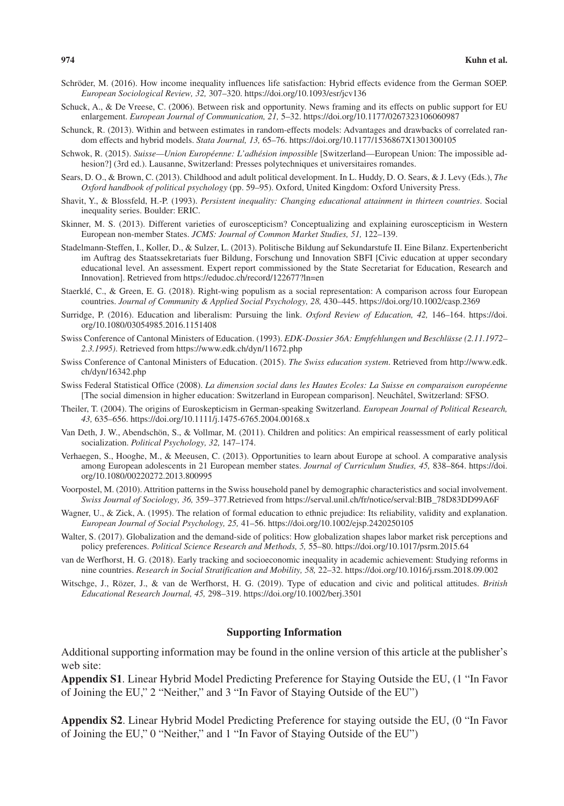- Schröder, M. (2016). How income inequality influences life satisfaction: Hybrid effects evidence from the German SOEP. *European Sociological Review, 32,* 307–320. <https://doi.org/10.1093/esr/jcv136>
- Schuck, A., & De Vreese, C. (2006). Between risk and opportunity. News framing and its effects on public support for EU enlargement. *European Journal of Communication, 21,* 5–32.<https://doi.org/10.1177/0267323106060987>
- Schunck, R. (2013). Within and between estimates in random-effects models: Advantages and drawbacks of correlated random effects and hybrid models. *Stata Journal, 13,* 65–76. <https://doi.org/10.1177/1536867X1301300105>
- Schwok, R. (2015). *Suisse—Union Européenne: L'adhésion impossible* [Switzerland—European Union: The impossible adhesion?] (3rd ed.). Lausanne, Switzerland: Presses polytechniques et universitaires romandes.
- Sears, D. O., & Brown, C. (2013). Childhood and adult political development. In L. Huddy, D. O. Sears, & J. Levy (Eds.), *The Oxford handbook of political psychology* (pp. 59–95). Oxford, United Kingdom: Oxford University Press.
- Shavit, Y., & Blossfeld, H.-P. (1993). *Persistent inequality: Changing educational attainment in thirteen countries*. Social inequality series. Boulder: ERIC.
- Skinner, M. S. (2013). Different varieties of euroscepticism? Conceptualizing and explaining euroscepticism in Western European non-member States. *JCMS: Journal of Common Market Studies, 51,* 122–139.
- Stadelmann-Steffen, I., Koller, D., & Sulzer, L. (2013). Politische Bildung auf Sekundarstufe II. Eine Bilanz. Expertenbericht im Auftrag des Staatssekretariats fuer Bildung, Forschung und Innovation SBFI [Civic education at upper secondary educational level. An assessment. Expert report commissioned by the State Secretariat for Education, Research and Innovation]. Retrieved from <https://edudoc.ch/record/122677?ln=en>
- Staerklé, C., & Green, E. G. (2018). Right-wing populism as a social representation: A comparison across four European countries. *Journal of Community & Applied Social Psychology, 28,* 430–445.<https://doi.org/10.1002/casp.2369>
- Surridge, P. (2016). Education and liberalism: Pursuing the link. *Oxford Review of Education, 42,* 146–164. [https://doi.](https://doi.org/10.1080/03054985.2016.1151408) [org/10.1080/03054985.2016.1151408](https://doi.org/10.1080/03054985.2016.1151408)
- Swiss Conference of Cantonal Ministers of Education. (1993). *EDK-Dossier 36A: Empfehlungen und Beschlüsse (2.11.1972– 2.3.1995)*. Retrieved from <https://www.edk.ch/dyn/11672.php>
- Swiss Conference of Cantonal Ministers of Education. (2015). *The Swiss education system*. Retrieved from [http://www.edk.](http://www.edk.ch/dyn/16342.php) [ch/dyn/16342.php](http://www.edk.ch/dyn/16342.php)
- Swiss Federal Statistical Office (2008). *La dimension social dans les Hautes Ecoles: La Suisse en comparaison européenne* [The social dimension in higher education: Switzerland in European comparison]. Neuchâtel, Switzerland: SFSO.
- Theiler, T. (2004). The origins of Euroskepticism in German-speaking Switzerland. *European Journal of Political Research, 43,* 635–656. <https://doi.org/10.1111/j.1475-6765.2004.00168.x>
- Van Deth, J. W., Abendschön, S., & Vollmar, M. (2011). Children and politics: An empirical reassessment of early political socialization. *Political Psychology, 32,* 147–174.
- Verhaegen, S., Hooghe, M., & Meeusen, C. (2013). Opportunities to learn about Europe at school. A comparative analysis among European adolescents in 21 European member states. *Journal of Curriculum Studies, 45,* 838–864. [https://doi.](https://doi.org/10.1080/00220272.2013.800995) [org/10.1080/00220272.2013.800995](https://doi.org/10.1080/00220272.2013.800995)
- Voorpostel, M. (2010). Attrition patterns in the Swiss household panel by demographic characteristics and social involvement. *Swiss Journal of Sociology, 36,* 359–377.Retrieved from [https://serval.unil.ch/fr/notice/serval:BIB\\_78D83DD99A6F](https://serval.unil.ch/fr/notice/serval:BIB_78D83DD99A6F)
- Wagner, U., & Zick, A. (1995). The relation of formal education to ethnic prejudice: Its reliability, validity and explanation. *European Journal of Social Psychology, 25,* 41–56.<https://doi.org/10.1002/ejsp.2420250105>
- Walter, S. (2017). Globalization and the demand-side of politics: How globalization shapes labor market risk perceptions and policy preferences. *Political Science Research and Methods, 5,* 55–80. <https://doi.org/10.1017/psrm.2015.64>
- van de Werfhorst, H. G. (2018). Early tracking and socioeconomic inequality in academic achievement: Studying reforms in nine countries. *Research in Social Stratification and Mobility, 58,* 22–32.<https://doi.org/10.1016/j.rssm.2018.09.002>
- Witschge, J., Rözer, J., & van de Werfhorst, H. G. (2019). Type of education and civic and political attitudes. *British Educational Research Journal, 45,* 298–319. <https://doi.org/10.1002/berj.3501>

#### **Supporting Information**

Additional supporting information may be found in the online version of this article at the publisher's web site:

**Appendix S1**. Linear Hybrid Model Predicting Preference for Staying Outside the EU, (1 "In Favor of Joining the EU," 2 "Neither," and 3 "In Favor of Staying Outside of the EU")

**Appendix S2**. Linear Hybrid Model Predicting Preference for staying outside the EU, (0 "In Favor of Joining the EU," 0 "Neither," and 1 "In Favor of Staying Outside of the EU")